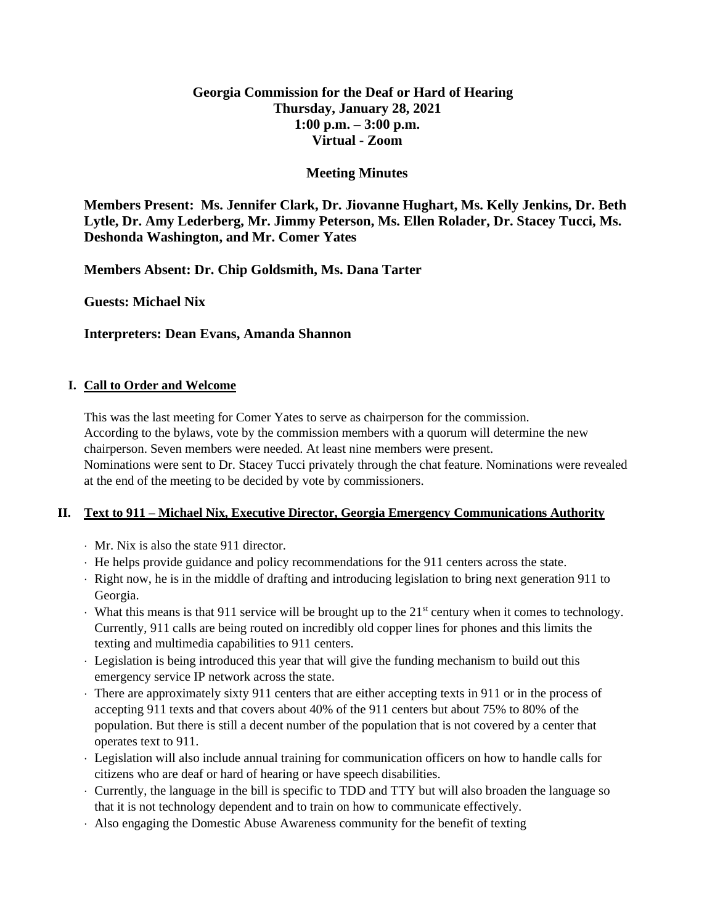## **Georgia Commission for the Deaf or Hard of Hearing Thursday, January 28, 2021 1:00 p.m. – 3:00 p.m. Virtual - Zoom**

## **Meeting Minutes**

**Members Present: Ms. Jennifer Clark, Dr. Jiovanne Hughart, Ms. Kelly Jenkins, Dr. Beth Lytle, Dr. Amy Lederberg, Mr. Jimmy Peterson, Ms. Ellen Rolader, Dr. Stacey Tucci, Ms. Deshonda Washington, and Mr. Comer Yates**

**Members Absent: Dr. Chip Goldsmith, Ms. Dana Tarter**

**Guests: Michael Nix**

**Interpreters: Dean Evans, Amanda Shannon**

### **I. Call to Order and Welcome**

This was the last meeting for Comer Yates to serve as chairperson for the commission. According to the bylaws, vote by the commission members with a quorum will determine the new chairperson. Seven members were needed. At least nine members were present. Nominations were sent to Dr. Stacey Tucci privately through the chat feature. Nominations were revealed at the end of the meeting to be decided by vote by commissioners.

### **II. Text to 911 – Michael Nix, Executive Director, Georgia Emergency Communications Authority**

- Mr. Nix is also the state 911 director.
- He helps provide guidance and policy recommendations for the 911 centers across the state.
- Right now, he is in the middle of drafting and introducing legislation to bring next generation 911 to Georgia.
- What this means is that 911 service will be brought up to the  $21<sup>st</sup>$  century when it comes to technology. Currently, 911 calls are being routed on incredibly old copper lines for phones and this limits the texting and multimedia capabilities to 911 centers.
- Legislation is being introduced this year that will give the funding mechanism to build out this emergency service IP network across the state.
- There are approximately sixty 911 centers that are either accepting texts in 911 or in the process of accepting 911 texts and that covers about 40% of the 911 centers but about 75% to 80% of the population. But there is still a decent number of the population that is not covered by a center that operates text to 911.
- Legislation will also include annual training for communication officers on how to handle calls for citizens who are deaf or hard of hearing or have speech disabilities.
- Currently, the language in the bill is specific to TDD and TTY but will also broaden the language so that it is not technology dependent and to train on how to communicate effectively.
- Also engaging the Domestic Abuse Awareness community for the benefit of texting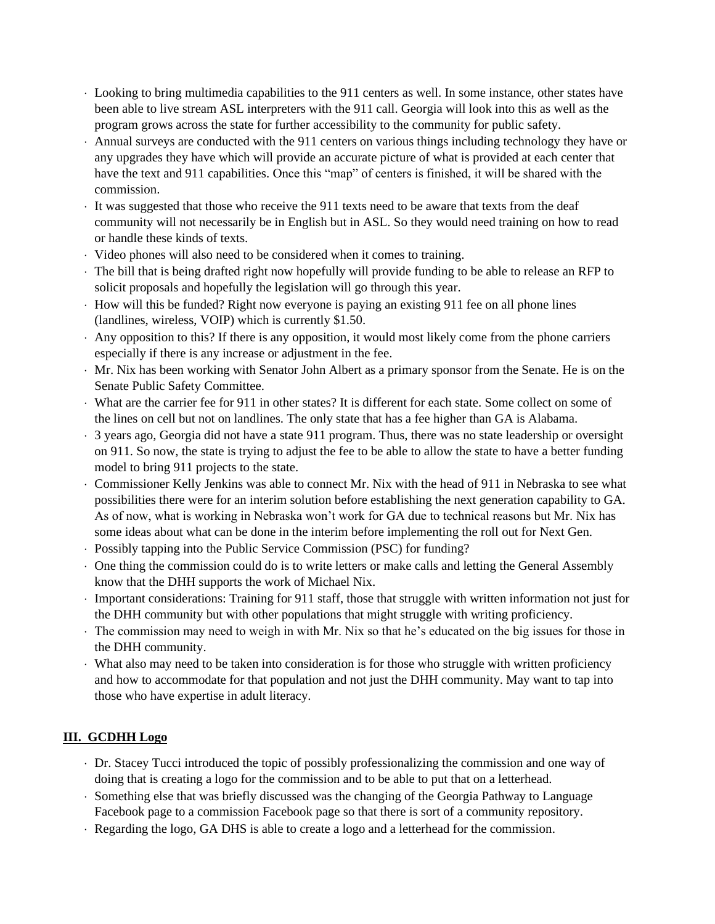- Looking to bring multimedia capabilities to the 911 centers as well. In some instance, other states have been able to live stream ASL interpreters with the 911 call. Georgia will look into this as well as the program grows across the state for further accessibility to the community for public safety.
- Annual surveys are conducted with the 911 centers on various things including technology they have or any upgrades they have which will provide an accurate picture of what is provided at each center that have the text and 911 capabilities. Once this "map" of centers is finished, it will be shared with the commission.
- It was suggested that those who receive the 911 texts need to be aware that texts from the deaf community will not necessarily be in English but in ASL. So they would need training on how to read or handle these kinds of texts.
- Video phones will also need to be considered when it comes to training.
- The bill that is being drafted right now hopefully will provide funding to be able to release an RFP to solicit proposals and hopefully the legislation will go through this year.
- How will this be funded? Right now everyone is paying an existing 911 fee on all phone lines (landlines, wireless, VOIP) which is currently \$1.50.
- Any opposition to this? If there is any opposition, it would most likely come from the phone carriers especially if there is any increase or adjustment in the fee.
- Mr. Nix has been working with Senator John Albert as a primary sponsor from the Senate. He is on the Senate Public Safety Committee.
- What are the carrier fee for 911 in other states? It is different for each state. Some collect on some of the lines on cell but not on landlines. The only state that has a fee higher than GA is Alabama.
- 3 years ago, Georgia did not have a state 911 program. Thus, there was no state leadership or oversight on 911. So now, the state is trying to adjust the fee to be able to allow the state to have a better funding model to bring 911 projects to the state.
- Commissioner Kelly Jenkins was able to connect Mr. Nix with the head of 911 in Nebraska to see what possibilities there were for an interim solution before establishing the next generation capability to GA. As of now, what is working in Nebraska won't work for GA due to technical reasons but Mr. Nix has some ideas about what can be done in the interim before implementing the roll out for Next Gen.
- Possibly tapping into the Public Service Commission (PSC) for funding?
- One thing the commission could do is to write letters or make calls and letting the General Assembly know that the DHH supports the work of Michael Nix.
- Important considerations: Training for 911 staff, those that struggle with written information not just for the DHH community but with other populations that might struggle with writing proficiency.
- The commission may need to weigh in with Mr. Nix so that he's educated on the big issues for those in the DHH community.
- What also may need to be taken into consideration is for those who struggle with written proficiency and how to accommodate for that population and not just the DHH community. May want to tap into those who have expertise in adult literacy.

# **III. GCDHH Logo**

- Dr. Stacey Tucci introduced the topic of possibly professionalizing the commission and one way of doing that is creating a logo for the commission and to be able to put that on a letterhead.
- Something else that was briefly discussed was the changing of the Georgia Pathway to Language Facebook page to a commission Facebook page so that there is sort of a community repository.
- Regarding the logo, GA DHS is able to create a logo and a letterhead for the commission.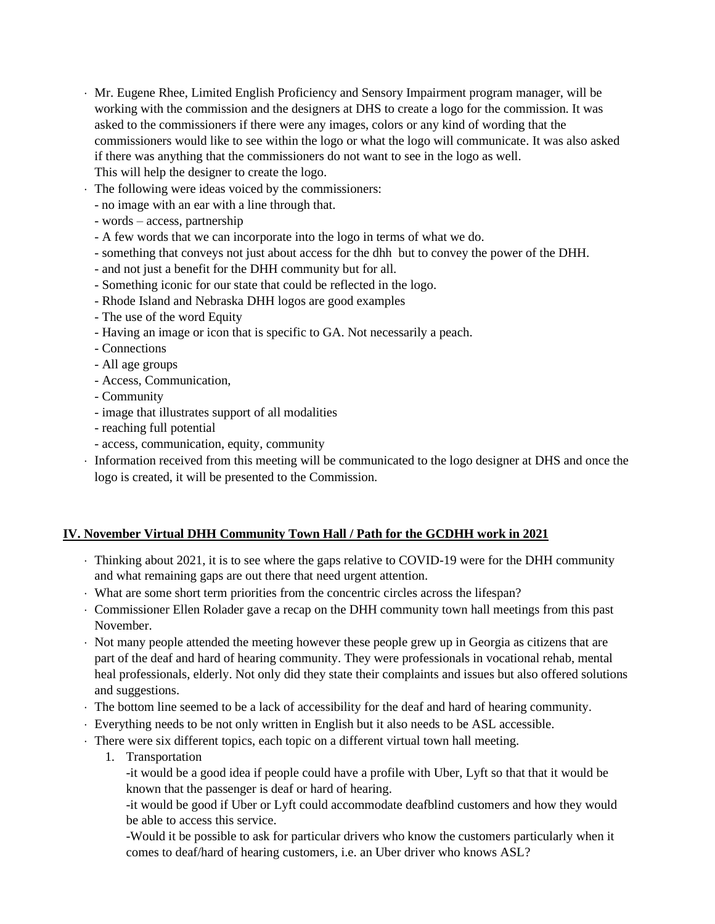- Mr. Eugene Rhee, Limited English Proficiency and Sensory Impairment program manager, will be working with the commission and the designers at DHS to create a logo for the commission. It was asked to the commissioners if there were any images, colors or any kind of wording that the commissioners would like to see within the logo or what the logo will communicate. It was also asked if there was anything that the commissioners do not want to see in the logo as well. This will help the designer to create the logo.
- The following were ideas voiced by the commissioners:
	- no image with an ear with a line through that.
	- words access, partnership
	- A few words that we can incorporate into the logo in terms of what we do.
	- something that conveys not just about access for the dhh but to convey the power of the DHH.
	- and not just a benefit for the DHH community but for all.
	- Something iconic for our state that could be reflected in the logo.
	- Rhode Island and Nebraska DHH logos are good examples
	- The use of the word Equity
	- Having an image or icon that is specific to GA. Not necessarily a peach.
	- Connections
	- All age groups
	- Access, Communication,
	- Community
	- image that illustrates support of all modalities
	- reaching full potential
	- access, communication, equity, community
- Information received from this meeting will be communicated to the logo designer at DHS and once the logo is created, it will be presented to the Commission.

### **IV. November Virtual DHH Community Town Hall / Path for the GCDHH work in 2021**

- Thinking about 2021, it is to see where the gaps relative to COVID-19 were for the DHH community and what remaining gaps are out there that need urgent attention.
- What are some short term priorities from the concentric circles across the lifespan?
- Commissioner Ellen Rolader gave a recap on the DHH community town hall meetings from this past November.
- Not many people attended the meeting however these people grew up in Georgia as citizens that are part of the deaf and hard of hearing community. They were professionals in vocational rehab, mental heal professionals, elderly. Not only did they state their complaints and issues but also offered solutions and suggestions.
- The bottom line seemed to be a lack of accessibility for the deaf and hard of hearing community.
- Everything needs to be not only written in English but it also needs to be ASL accessible.
- There were six different topics, each topic on a different virtual town hall meeting.
	- 1. Transportation
		- -it would be a good idea if people could have a profile with Uber, Lyft so that that it would be known that the passenger is deaf or hard of hearing.

-it would be good if Uber or Lyft could accommodate deafblind customers and how they would be able to access this service.

-Would it be possible to ask for particular drivers who know the customers particularly when it comes to deaf/hard of hearing customers, i.e. an Uber driver who knows ASL?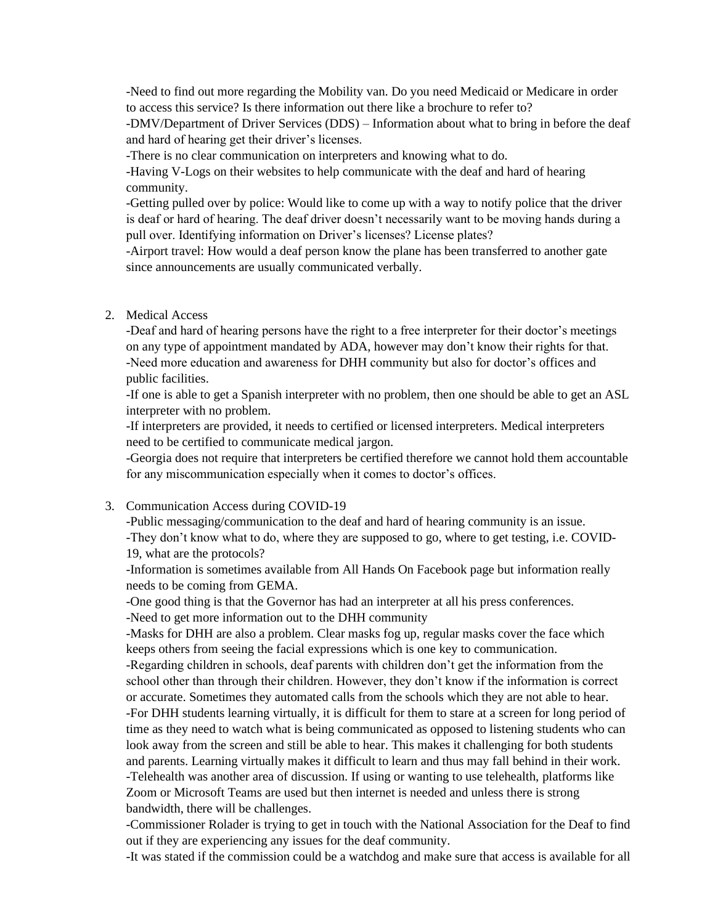-Need to find out more regarding the Mobility van. Do you need Medicaid or Medicare in order to access this service? Is there information out there like a brochure to refer to?

-DMV/Department of Driver Services (DDS) – Information about what to bring in before the deaf and hard of hearing get their driver's licenses.

-There is no clear communication on interpreters and knowing what to do.

-Having V-Logs on their websites to help communicate with the deaf and hard of hearing community.

-Getting pulled over by police: Would like to come up with a way to notify police that the driver is deaf or hard of hearing. The deaf driver doesn't necessarily want to be moving hands during a pull over. Identifying information on Driver's licenses? License plates?

-Airport travel: How would a deaf person know the plane has been transferred to another gate since announcements are usually communicated verbally.

### 2. Medical Access

-Deaf and hard of hearing persons have the right to a free interpreter for their doctor's meetings on any type of appointment mandated by ADA, however may don't know their rights for that. -Need more education and awareness for DHH community but also for doctor's offices and public facilities.

-If one is able to get a Spanish interpreter with no problem, then one should be able to get an ASL interpreter with no problem.

-If interpreters are provided, it needs to certified or licensed interpreters. Medical interpreters need to be certified to communicate medical jargon.

-Georgia does not require that interpreters be certified therefore we cannot hold them accountable for any miscommunication especially when it comes to doctor's offices.

#### 3. Communication Access during COVID-19

-Public messaging/communication to the deaf and hard of hearing community is an issue. -They don't know what to do, where they are supposed to go, where to get testing, i.e. COVID-19, what are the protocols?

-Information is sometimes available from All Hands On Facebook page but information really needs to be coming from GEMA.

-One good thing is that the Governor has had an interpreter at all his press conferences.

-Need to get more information out to the DHH community

-Masks for DHH are also a problem. Clear masks fog up, regular masks cover the face which keeps others from seeing the facial expressions which is one key to communication.

-Regarding children in schools, deaf parents with children don't get the information from the school other than through their children. However, they don't know if the information is correct or accurate. Sometimes they automated calls from the schools which they are not able to hear. -For DHH students learning virtually, it is difficult for them to stare at a screen for long period of time as they need to watch what is being communicated as opposed to listening students who can look away from the screen and still be able to hear. This makes it challenging for both students and parents. Learning virtually makes it difficult to learn and thus may fall behind in their work. -Telehealth was another area of discussion. If using or wanting to use telehealth, platforms like Zoom or Microsoft Teams are used but then internet is needed and unless there is strong bandwidth, there will be challenges.

-Commissioner Rolader is trying to get in touch with the National Association for the Deaf to find out if they are experiencing any issues for the deaf community.

-It was stated if the commission could be a watchdog and make sure that access is available for all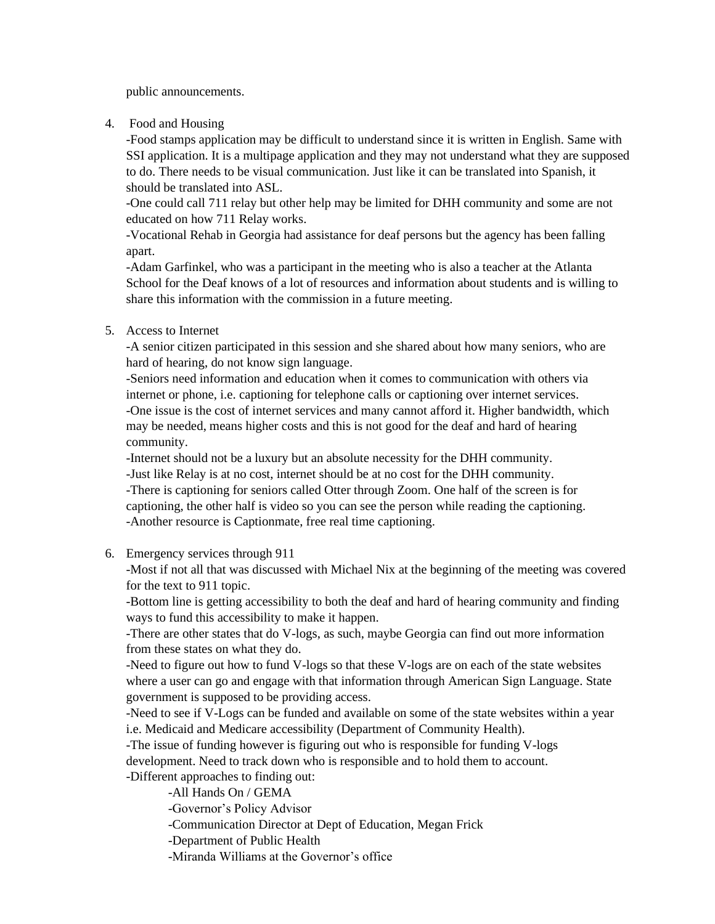public announcements.

4. Food and Housing

-Food stamps application may be difficult to understand since it is written in English. Same with SSI application. It is a multipage application and they may not understand what they are supposed to do. There needs to be visual communication. Just like it can be translated into Spanish, it should be translated into ASL.

-One could call 711 relay but other help may be limited for DHH community and some are not educated on how 711 Relay works.

-Vocational Rehab in Georgia had assistance for deaf persons but the agency has been falling apart.

-Adam Garfinkel, who was a participant in the meeting who is also a teacher at the Atlanta School for the Deaf knows of a lot of resources and information about students and is willing to share this information with the commission in a future meeting.

5. Access to Internet

-A senior citizen participated in this session and she shared about how many seniors, who are hard of hearing, do not know sign language.

-Seniors need information and education when it comes to communication with others via internet or phone, i.e. captioning for telephone calls or captioning over internet services. -One issue is the cost of internet services and many cannot afford it. Higher bandwidth, which may be needed, means higher costs and this is not good for the deaf and hard of hearing community.

-Internet should not be a luxury but an absolute necessity for the DHH community.

-Just like Relay is at no cost, internet should be at no cost for the DHH community. -There is captioning for seniors called Otter through Zoom. One half of the screen is for captioning, the other half is video so you can see the person while reading the captioning. -Another resource is Captionmate, free real time captioning.

6. Emergency services through 911

-Most if not all that was discussed with Michael Nix at the beginning of the meeting was covered for the text to 911 topic.

-Bottom line is getting accessibility to both the deaf and hard of hearing community and finding ways to fund this accessibility to make it happen.

-There are other states that do V-logs, as such, maybe Georgia can find out more information from these states on what they do.

-Need to figure out how to fund V-logs so that these V-logs are on each of the state websites where a user can go and engage with that information through American Sign Language. State government is supposed to be providing access.

-Need to see if V-Logs can be funded and available on some of the state websites within a year i.e. Medicaid and Medicare accessibility (Department of Community Health).

-The issue of funding however is figuring out who is responsible for funding V-logs

development. Need to track down who is responsible and to hold them to account.

-Different approaches to finding out:

-All Hands On / GEMA

-Governor's Policy Advisor

-Communication Director at Dept of Education, Megan Frick

-Department of Public Health

-Miranda Williams at the Governor's office